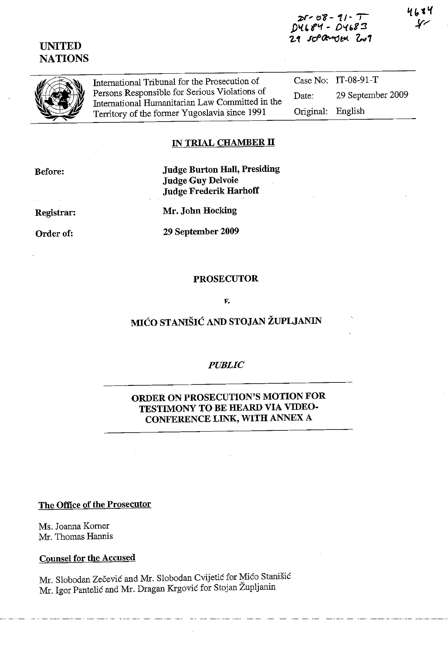**1)'<41''1 - 01.{ 68:3**  *'2.1* **Jt:(>O:-(Jf:.tA,.** l,~1

**UNITED NATIONS** 



International Tribunal for the Prosecution of Persons Responsible for Serious Violations of International Hurnanitarian Law Committed in the Territory of the former Yugoslavia since 1991

Case No: lT-08-91-T Date: 29 September 2009 Original: English

## **IN TRIAL CHAMBER II**

**Before:** 

**Judge Burton Hall, Presiding Judge Guy Delvoie Judge Frederik Harhoff** 

**Registrar:** 

**Order of:** 

**Mr. John Hocking** 

**29 September 2009** 

### **PROSECUTOR**

#### *v.*

# **MIĆO STANIŠIĆ AND STOJAN ŽUPLJANIN**

### *PUBLIC*

## **ORDER ON PROSECUTION'S MOTION FOR TESTIMONY TO BE HEARD VIA VIDEO-CONFERENCE LINK, WITH** ANNEX A

**The Office of the Prosecutor** 

Ms. Joanna Korner Mr. Thomas Hannis

**Counsel for the Accused** 

Mr. Slobodan Zečević and Mr. Slobodan Cvijetić for Mićo Stanišić Mr. Igor Pantelié and Mr. Dragan Krgovié for Stojan Zupljanin